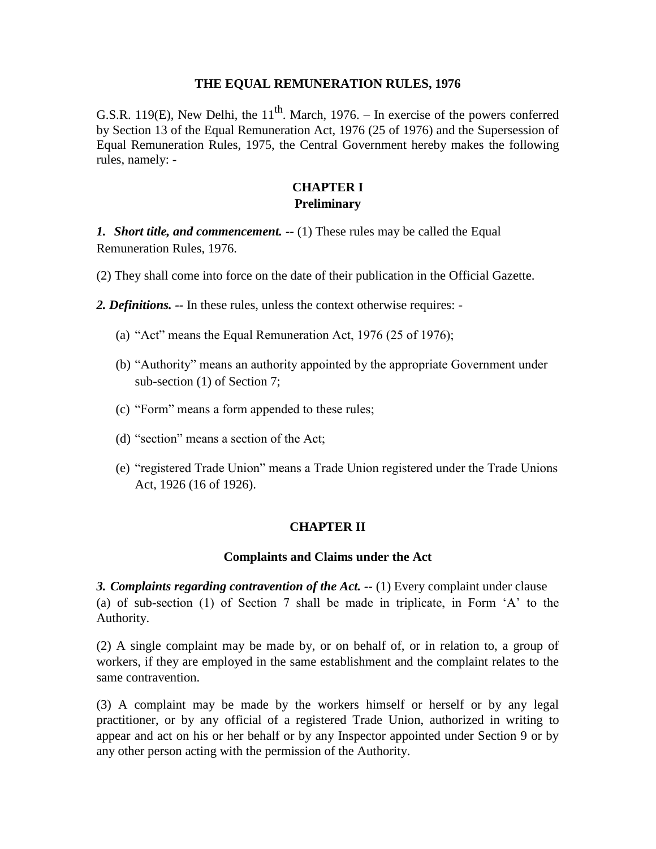#### **THE EQUAL REMUNERATION RULES, 1976**

G.S.R. 119(E), New Delhi, the  $11<sup>th</sup>$ . March, 1976. – In exercise of the powers conferred by Section 13 of the Equal Remuneration Act, 1976 (25 of 1976) and the Supersession of Equal Remuneration Rules, 1975, the Central Government hereby makes the following rules, namely: -

### **CHAPTER I Preliminary**

*1. Short title, and commencement. --* (1) These rules may be called the Equal Remuneration Rules, 1976.

(2) They shall come into force on the date of their publication in the Official Gazette.

*2. Definitions. --* In these rules, unless the context otherwise requires: -

- (a) "Act" means the Equal Remuneration Act, 1976 (25 of 1976);
- (b) "Authority" means an authority appointed by the appropriate Government under sub-section (1) of Section 7;
- (c) "Form" means a form appended to these rules;
- (d) "section" means a section of the Act;
- (e) "registered Trade Union" means a Trade Union registered under the Trade Unions Act, 1926 (16 of 1926).

#### **CHAPTER II**

#### **Complaints and Claims under the Act**

*3. Complaints regarding contravention of the Act. --* (1) Every complaint under clause (a) of sub-section (1) of Section 7 shall be made in triplicate, in Form 'A' to the Authority.

(2) A single complaint may be made by, or on behalf of, or in relation to, a group of workers, if they are employed in the same establishment and the complaint relates to the same contravention.

(3) A complaint may be made by the workers himself or herself or by any legal practitioner, or by any official of a registered Trade Union, authorized in writing to appear and act on his or her behalf or by any Inspector appointed under Section 9 or by any other person acting with the permission of the Authority.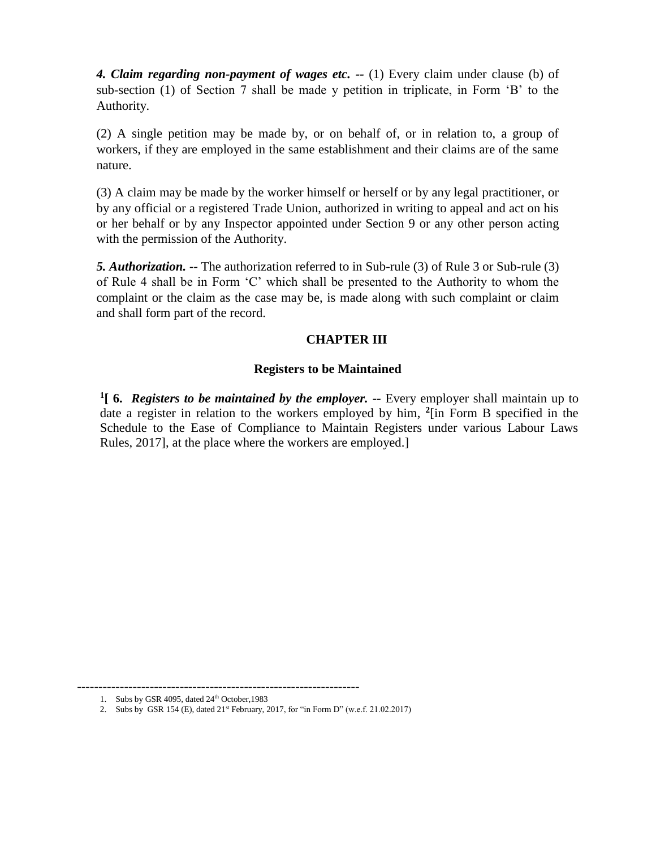*4. Claim regarding non-payment of wages etc. --* (1) Every claim under clause (b) of sub-section (1) of Section 7 shall be made y petition in triplicate, in Form 'B' to the Authority.

(2) A single petition may be made by, or on behalf of, or in relation to, a group of workers, if they are employed in the same establishment and their claims are of the same nature.

(3) A claim may be made by the worker himself or herself or by any legal practitioner, or by any official or a registered Trade Union, authorized in writing to appeal and act on his or her behalf or by any Inspector appointed under Section 9 or any other person acting with the permission of the Authority.

*5. Authorization. --* The authorization referred to in Sub-rule (3) of Rule 3 or Sub-rule (3) of Rule 4 shall be in Form 'C' which shall be presented to the Authority to whom the complaint or the claim as the case may be, is made along with such complaint or claim and shall form part of the record.

# **CHAPTER III**

### **Registers to be Maintained**

**1 [ 6.** *Registers to be maintained by the employer. --* Every employer shall maintain up to date a register in relation to the workers employed by him, **2** [in Form B specified in the Schedule to the Ease of Compliance to Maintain Registers under various Labour Laws Rules, 2017], at the place where the workers are employed.]

<sup>------------------------------------------------------------------</sup>

<sup>1.</sup> Subs by GSR 4095, dated  $24<sup>th</sup>$  October, 1983

<sup>2.</sup> Subs by GSR 154 (E), dated  $21<sup>st</sup>$  February, 2017, for "in Form D" (w.e.f. 21.02.2017)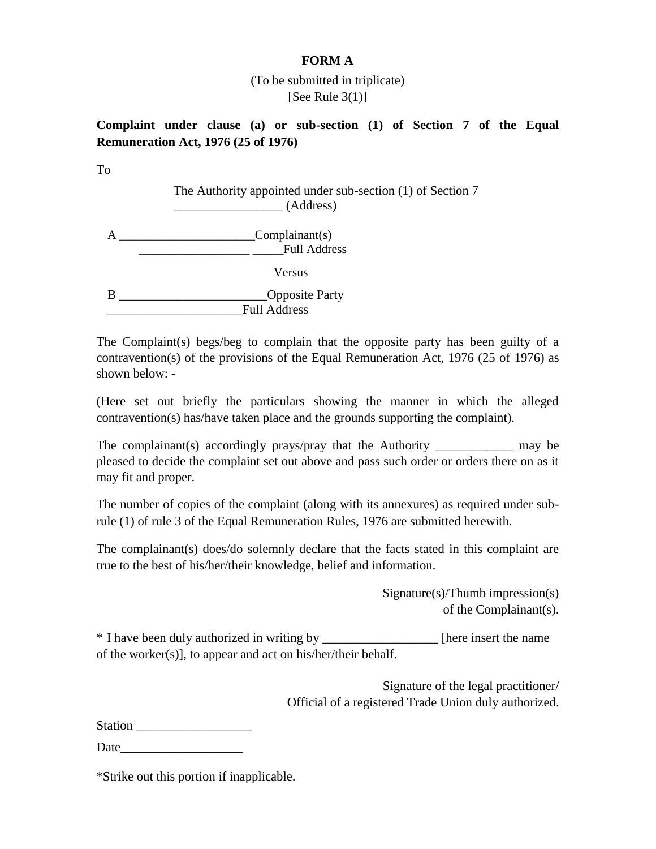### **FORM A**

## (To be submitted in triplicate) [See Rule  $3(1)$ ]

**Complaint under clause (a) or sub-section (1) of Section 7 of the Equal Remuneration Act, 1976 (25 of 1976)**

To

The Authority appointed under sub-section (1) of Section 7 \_\_\_\_\_\_\_\_\_\_\_\_\_\_\_\_\_ (Address)

A \_\_\_\_\_\_\_\_\_\_\_\_\_\_\_\_\_\_\_\_\_\_Complainant(s) Full Address Versus B \_\_\_\_\_\_\_\_\_\_\_\_\_\_\_\_\_\_\_\_\_\_\_\_\_\_\_\_Opposite Party \_\_\_\_\_\_\_\_\_\_\_\_\_\_\_\_\_\_\_\_\_Full Address

The Complaint(s) begs/beg to complain that the opposite party has been guilty of a contravention(s) of the provisions of the Equal Remuneration Act, 1976 (25 of 1976) as shown below: -

(Here set out briefly the particulars showing the manner in which the alleged contravention(s) has/have taken place and the grounds supporting the complaint).

The complainant(s) accordingly prays/pray that the Authority may be may be pleased to decide the complaint set out above and pass such order or orders there on as it may fit and proper.

The number of copies of the complaint (along with its annexures) as required under subrule (1) of rule 3 of the Equal Remuneration Rules, 1976 are submitted herewith.

The complainant(s) does/do solemnly declare that the facts stated in this complaint are true to the best of his/her/their knowledge, belief and information.

> Signature(s)/Thumb impression(s) of the Complainant(s).

\* I have been duly authorized in writing by \_\_\_\_\_\_\_\_\_\_\_\_\_\_\_\_\_\_ [here insert the name of the worker(s)], to appear and act on his/her/their behalf.

> Signature of the legal practitioner/ Official of a registered Trade Union duly authorized.

Station \_\_\_\_\_\_\_\_\_\_\_\_\_\_\_\_\_\_

Date\_\_\_\_\_\_\_\_\_\_\_\_\_\_\_\_\_\_\_

\*Strike out this portion if inapplicable.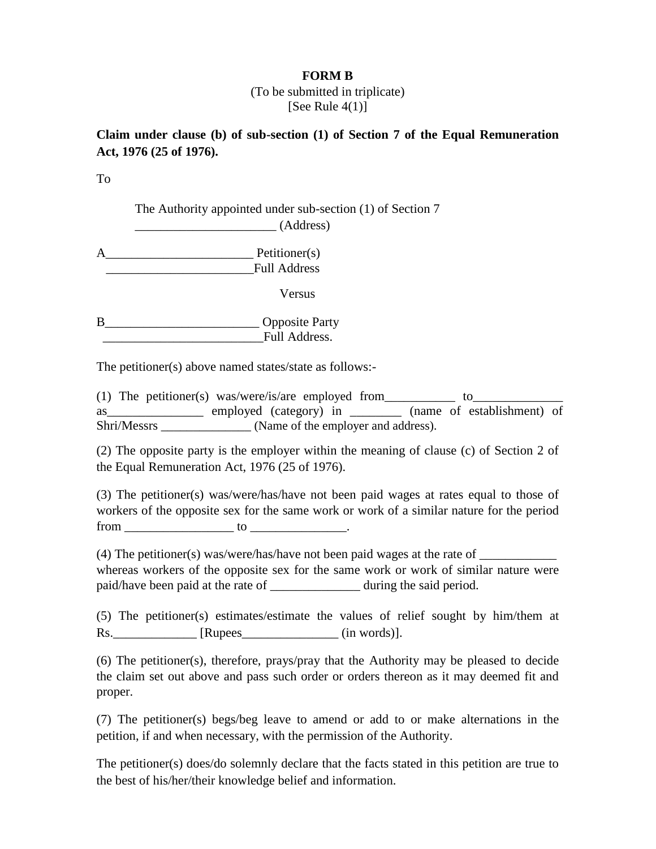#### **FORM B**

(To be submitted in triplicate) [See Rule  $4(1)$ ]

## **Claim under clause (b) of sub-section (1) of Section 7 of the Equal Remuneration Act, 1976 (25 of 1976).**

To

The Authority appointed under sub-section (1) of Section 7

\_\_\_\_\_\_\_\_\_\_\_\_\_\_\_\_\_\_\_\_\_\_ (Address)

A\_\_\_\_\_\_\_\_\_\_\_\_\_\_\_\_\_\_\_\_\_\_\_ Petitioner(s) \_\_\_\_\_\_\_\_\_\_\_\_\_\_\_\_\_\_\_\_\_\_\_Full Address

Versus

B\_\_\_\_\_\_\_\_\_\_\_\_\_\_\_\_\_\_\_\_\_\_\_\_ Opposite Party \_\_\_\_\_\_\_\_\_\_\_\_\_\_\_\_\_\_\_\_\_\_\_\_\_Full Address.

The petitioner(s) above named states/state as follows:-

(1) The petitioner(s) was/were/is/are employed from  $\sqrt{1 - \frac{1}{\sqrt{1 - \frac{1}{\sqrt{1 - \frac{1}{\sqrt{1 - \frac{1}{\sqrt{1 - \frac{1}{\sqrt{1 - \frac{1}{\sqrt{1 - \frac{1}{\sqrt{1 - \frac{1}{\sqrt{1 - \frac{1}{\sqrt{1 - \frac{1}{\sqrt{1 - \frac{1}{\sqrt{1 - \frac{1}{\sqrt{1 - \frac{1}{\sqrt{1 - \frac{1}{\sqrt{1 - \frac{1}{\sqrt{1 - \frac{1}{\sqrt{1 - \frac{$ as\_\_\_\_\_\_\_\_\_\_\_\_\_\_\_ employed (category) in \_\_\_\_\_\_\_\_ (name of establishment) of Shri/Messrs (Name of the employer and address).

(2) The opposite party is the employer within the meaning of clause (c) of Section 2 of the Equal Remuneration Act, 1976 (25 of 1976).

(3) The petitioner(s) was/were/has/have not been paid wages at rates equal to those of workers of the opposite sex for the same work or work of a similar nature for the period  $from$   $\qquad \qquad$  to  $\qquad \qquad$  to  $\qquad \qquad$ .

(4) The petitioner(s) was/were/has/have not been paid wages at the rate of whereas workers of the opposite sex for the same work or work of similar nature were paid/have been paid at the rate of during the said period.

(5) The petitioner(s) estimates/estimate the values of relief sought by him/them at Rs. [Rupees (in words)].

(6) The petitioner(s), therefore, prays/pray that the Authority may be pleased to decide the claim set out above and pass such order or orders thereon as it may deemed fit and proper.

(7) The petitioner(s) begs/beg leave to amend or add to or make alternations in the petition, if and when necessary, with the permission of the Authority.

The petitioner(s) does/do solemnly declare that the facts stated in this petition are true to the best of his/her/their knowledge belief and information.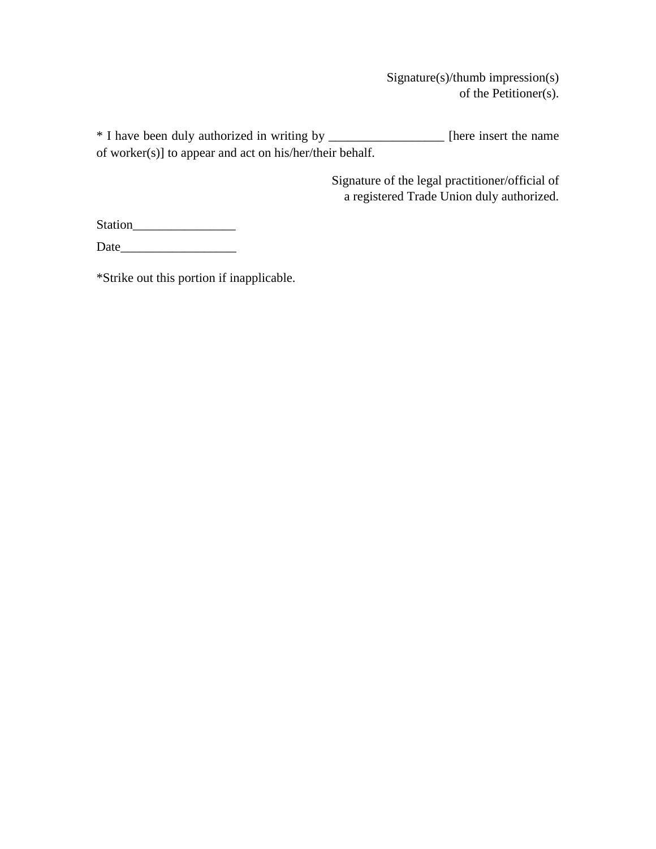Signature(s)/thumb impression(s) of the Petitioner(s).

\* I have been duly authorized in writing by \_\_\_\_\_\_\_\_\_\_\_\_\_\_\_\_\_\_ [here insert the name of worker(s)] to appear and act on his/her/their behalf.

> Signature of the legal practitioner/official of a registered Trade Union duly authorized.

Station\_\_\_\_\_\_\_\_\_\_\_\_\_\_\_\_

Date\_\_\_\_\_\_\_\_\_\_\_\_\_\_\_\_\_\_

\*Strike out this portion if inapplicable.